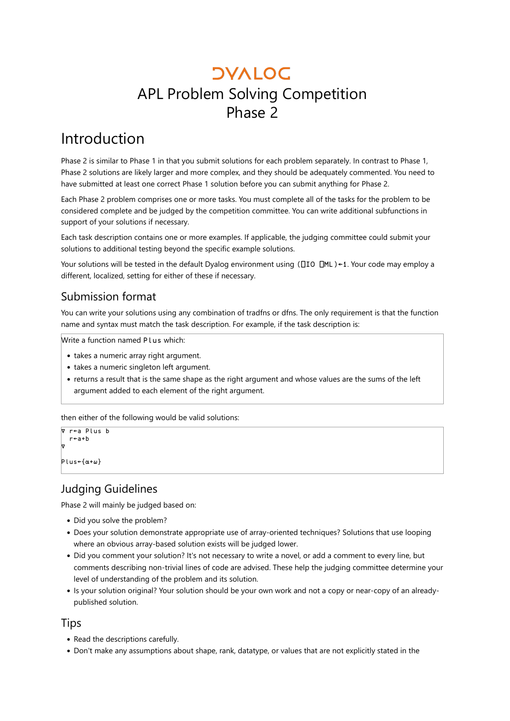## **DVALOC** APL Problem Solving Competition Phase 2

### Introduction

Phase 2 is similar to Phase 1 in that you submit solutions for each problem separately. In contrast to Phase 1, Phase 2 solutions are likely larger and more complex, and they should be adequately commented. You need to have submitted at least one correct Phase 1 solution before you can submit anything for Phase 2.

Each Phase 2 problem comprises one or more tasks. You must complete all of the tasks for the problem to be considered complete and be judged by the competition committee. You can write additional subfunctions in support of your solutions if necessary.

Each task description contains one or more examples. If applicable, the judging committee could submit your solutions to additional testing beyond the specific example solutions.

Your solutions will be tested in the default Dyalog environment using (⎕IO ⎕ML)←1. Your code may employ a different, localized, setting for either of these if necessary.

### Submission format

You can write your solutions using any combination of tradfns or dfns. The only requirement is that the function name and syntax must match the task description. For example, if the task description is:

Write a function named Plus which:

- takes a numeric array right argument.
- takes a numeric singleton left argument.
- returns a result that is the same shape as the right argument and whose values are the sums of the left argument added to each element of the right argument.

then either of the following would be valid solutions:

```
∇ r←a Plus b
   r←a+b
∇
Plus←{⍺+⍵}
```
### Judging Guidelines

Phase 2 will mainly be judged based on:

- Did you solve the problem?
- Does your solution demonstrate appropriate use of array-oriented techniques? Solutions that use looping where an obvious array-based solution exists will be judged lower.
- Did you comment your solution? It's not necessary to write a novel, or add a comment to every line, but comments describing non-trivial lines of code are advised. These help the judging committee determine your level of understanding of the problem and its solution.
- Is your solution original? Your solution should be your own work and not a copy or near-copy of an alreadypublished solution.

### Tips

- Read the descriptions carefully.
- Don't make any assumptions about shape, rank, datatype, or values that are not explicitly stated in the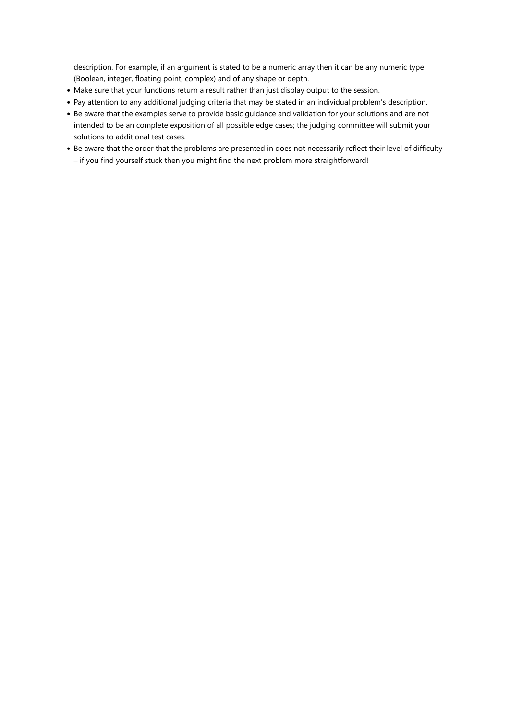description. For example, if an argument is stated to be a numeric array then it can be any numeric type (Boolean, integer, floating point, complex) and of any shape or depth.

- Make sure that your functions return a result rather than just display output to the session.
- Pay attention to any additional judging criteria that may be stated in an individual problem's description.
- Be aware that the examples serve to provide basic guidance and validation for your solutions and are not intended to be an complete exposition of all possible edge cases; the judging committee will submit your solutions to additional test cases.
- Be aware that the order that the problems are presented in does not necessarily reflect their level of difficulty – if you find yourself stuck then you might find the next problem more straightforward!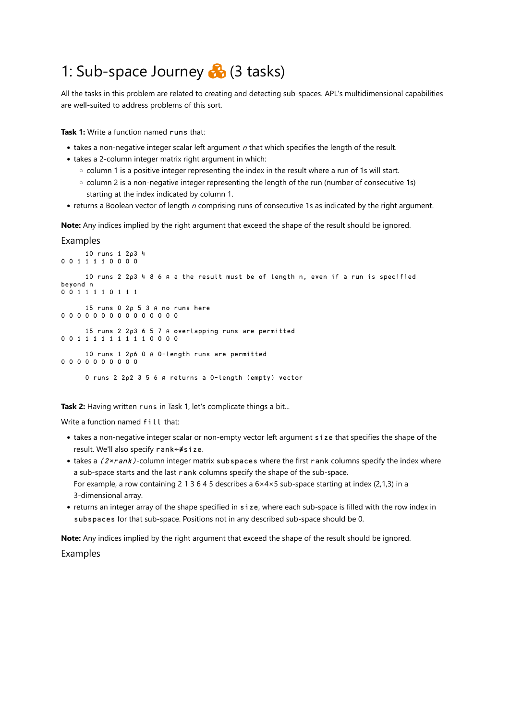### 1: Sub-space Journey  $\clubsuit$  (3 tasks)

All the tasks in this problem are related to creating and detecting sub-spaces. APL's multidimensional capabilities are well-suited to address problems of this sort.

**Task 1:** Write a function named runs that:

- $\bullet$  takes a non-negative integer scalar left argument  $n$  that which specifies the length of the result.
- takes a 2-column integer matrix right argument in which:
	- column 1 is a positive integer representing the index in the result where a run of 1s will start.
	- column 2 is a non-negative integer representing the length of the run (number of consecutive 1s) starting at the index indicated by column 1.
- returns a Boolean vector of length n comprising runs of consecutive 1s as indicated by the right argument.

**Note:** Any indices implied by the right argument that exceed the shape of the result should be ignored.

#### Examples

```
 10 runs 1 2⍴3 4
0 0 1 1 1 1 0 0 0 0
       10 runs 2 2⍴3 4 8 6 ⍝ a the result must be of length n, even if a run is specified 
beyond n
0 0 1 1 1 1 0 1 1 1
       15 runs 0 2⍴ 5 3 ⍝ no runs here
0 0 0 0 0 0 0 0 0 0 0 0 0 0 0
       15 runs 2 2⍴3 6 5 7 ⍝ overlapping runs are permitted
0 0 1 1 1 1 1 1 1 1 1 0 0 0 0
       10 runs 1 2⍴6 0 ⍝ 0-length runs are permitted
0 0 0 0 0 0 0 0 0 0
       0 runs 2 2⍴2 3 5 6 ⍝ returns a 0-length (empty) vector
```
Task 2: Having written runs in Task 1, let's complicate things a bit...

Write a function named fill that:

- takes a non-negative integer scalar or non-empty vector left argument size that specifies the shape of the result. We'll also specify rank←≢size.
- takes a (2xrank)-column integer matrix subspaces where the first rank columns specify the index where a sub-space starts and the last rank columns specify the shape of the sub-space. For example, a row containing 2 1 3 6 4 5 describes a  $6 \times 4 \times 5$  sub-space starting at index (2,1,3) in a 3-dimensional array.
- returns an integer array of the shape specified in size, where each sub-space is filled with the row index in subspaces for that sub-space. Positions not in any described sub-space should be 0.

**Note:** Any indices implied by the right argument that exceed the shape of the result should be ignored.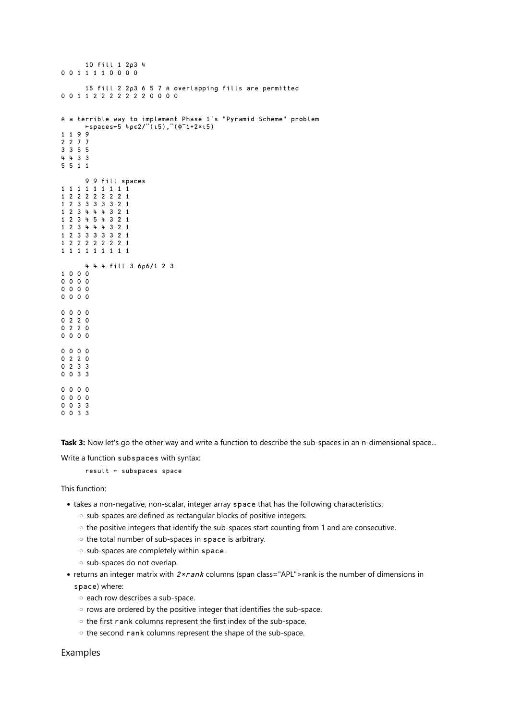```
 10 fill 1 2⍴3 4
0 0 1 1 1 1 0 0 0 0
       15 fill 2 2⍴3 6 5 7 ⍝ overlapping fills are permitted
0 0 1 1 2 2 2 2 2 2 2 0 0 0 0
⍝ a terrible way to implement Phase 1's "Pyramid Scheme" problem
       ⊢spaces←5 4⍴∊2/¨(⍳5),¨(⌽¯1+2×⍳5)
1 1 9 9
2 2 7 7
3 3 5 5
4 4 3 3
5 5 1 1
      9 9 fill spaces
1 1 1 1 1 1 1 1 1
1 2 2 2 2 2 2 2 1
1 2 3 3 3 3 3 2 1
1 2 3 4 4 4 3 2 1
1 2 3 4 5 4 3 2 1
1 2 3 4 4 4 3 2 1
1 2 3 3 3 3 3 2 1
1 2 2 2 2 2 2 2 1
1 1 1 1 1 1 1 1 1
       4 4 4 fill 3 6⍴6/1 2 3
1 0 0 0
0 0 0 0
0 0 0 0
00000 0 0 0
0 2 2 0
0 2 2 0
0 0 0 0
0 0 0 0
0 2 2 0
0 2 3 3
0 0 3 3
0 0 0 0
0 0 0 0
0 0 3 3
```
**Task 3:** Now let's go the other way and write a function to describe the sub-spaces in an n-dimensional space...

Write a function subspaces with syntax:

result ← subspaces space

This function:

0 0 3 3

- takes a non-negative, non-scalar, integer array space that has the following characteristics:
	- sub-spaces are defined as rectangular blocks of positive integers.
	- the positive integers that identify the sub-spaces start counting from 1 and are consecutive.
	- the total number of sub-spaces in space is arbitrary.
	- sub-spaces are completely within space.
	- sub-spaces do not overlap.
- returns an integer matrix with  $2 \times r$  ank columns (span class="APL">rank is the number of dimensions in space) where:
	- each row describes a sub-space.
	- rows are ordered by the positive integer that identifies the sub-space.
	- the first rank columns represent the first index of the sub-space.
	- the second rank columns represent the shape of the sub-space.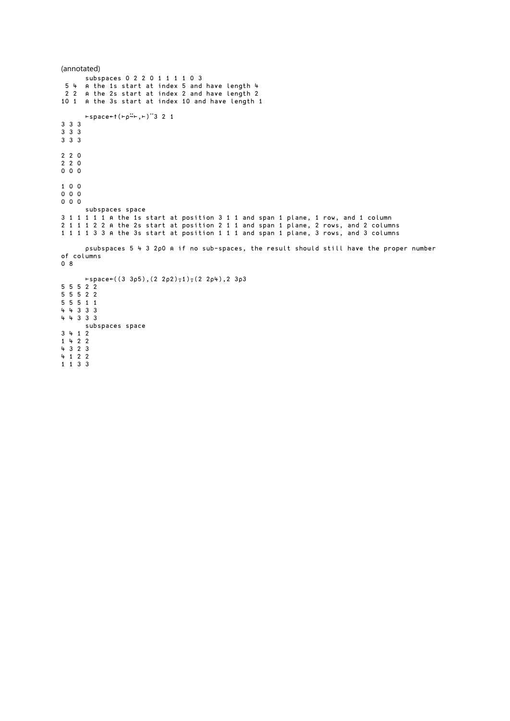```
(annotated)
       subspaces 0 2 2 0 1 1 1 1 0 3
  5 4 ⍝ the 1s start at index 5 and have length 4
 2 2 ⍝ the 2s start at index 2 and have length 2
10 1 ⍝ the 3s start at index 10 and have length 1
      ⊢space←↑(⊢⍴⍨⊢,⊢)¨3 2 1
3 3 3
3 3 3
3 3 3
2 2 0
2 2 0
0 0 0
1 0 0
0 0 0
0 0 0
      subspaces space
3 1 1 1 1 1 ⍝ the 1s start at position 3 1 1 and span 1 plane, 1 row, and 1 column
2 1 1 1 2 2 ⍝ the 2s start at position 2 1 1 and span 1 plane, 2 rows, and 2 columns
1 1 1 1 3 3 ⍝ the 3s start at position 1 1 1 and span 1 plane, 3 rows, and 3 columns
       ⍴subspaces 5 4 3 2⍴0 ⍝ if no sub-spaces, the result should still have the proper number 
of columns
0 8
       ⊢space←((3 3⍴5),(2 2⍴2)⍪1)⍪(2 2⍴4),2 3⍴3
5 \t5 \t5 \t2 \t25 5 5 2 2
5 5 5 1 1
4 4 3 3 3
4 4 3 3 3 
       subspaces space
3 4 1 2
1 4 2 2
4 3 2 3
4 1 2 2
1 1 3 3
```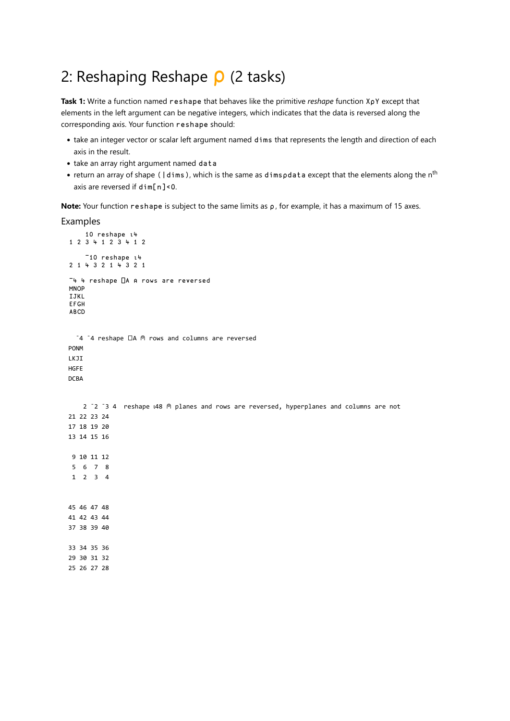### 2: Reshaping Reshape  $\rho$  (2 tasks)

**Task 1:** Write a function named reshape that behaves like the primitive *reshape* function X⍴Y except that elements in the left argument can be negative integers, which indicates that the data is reversed along the corresponding axis. Your function reshape should:

- take an integer vector or scalar left argument named dims that represents the length and direction of each axis in the result.
- take an array right argument named data
- return an array of shape ( $\vert$ dims), which is the same as dimspdata except that the elements along the n<sup>th</sup> axis are reversed if dim[n]<0.

**Note:** Your function reshape is subject to the same limits as  $\rho$ , for example, it has a maximum of 15 axes.

```
 10 reshape ⍳4
 1 2 3 4 1 2 3 4 1 2
      ¯10 reshape ⍳4
 2 1 4 3 2 1 4 3 2 1
 ¯4 4 reshape ⎕A ⍝ rows are reversed
MNOP
 IJKL
 EFGH
 ABCD
   ¯4 ¯4 reshape ⎕A ⍝ rows and columns are reversed
 PONM
 LKJI
HGFE
DCBA
    2 <sup>-</sup>2 <sup>-</sup>3 4 reshape \sqrt{48} \degree planes and rows are reversed, hyperplanes and columns are not
 21 22 23 24
 17 18 19 20
 13 14 15 16
 9 10 11 12
 5 6 7 8
 1 2 3 4
 45 46 47 48
 41 42 43 44
 37 38 39 40
 33 34 35 36
 29 30 31 32
 25 26 27 28
```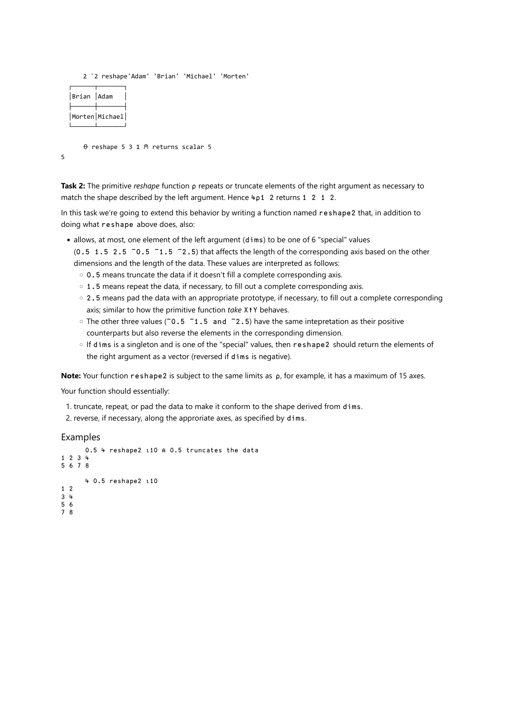2 ¯2 reshape'Adam' 'Brian' 'Michael' 'Morten'

| Brian  Adam |                |
|-------------|----------------|
|             | Morten Michael |

⍬ reshape 5 3 1 ⍝ returns scalar 5

5

**Task 2:** The primitive *reshape* function ⍴ repeats or truncate elements of the right argument as necessary to match the shape described by the left argument. Hence 4p1 2 returns 1 2 1 2.

In this task we're going to extend this behavior by writing a function named reshape2 that, in addition to doing what reshape above does, also:

- allows, at most, one element of the left argument (dims) to be one of 6 "special" values  $(0.5 \t1.5 \t2.5 \t-0.5 \t-1.5 \t-2.5)$  that affects the length of the corresponding axis based on the other dimensions and the length of the data. These values are interpreted as follows:
	- 0.5 means truncate the data if it doesn't fill a complete corresponding axis.
	- 1.5 means repeat the data, if necessary, to fill out a complete corresponding axis.
	- 2.5 means pad the data with an appropriate prototype, if necessary, to fill out a complete corresponding axis; similar to how the primitive function *take* X↑Y behaves.
	- The other three values ( $\overline{0.5}$   $\overline{1.5}$  and  $\overline{2.5}$ ) have the same intepretation as their positive counterparts but also reverse the elements in the corresponding dimension.
	- If dims is a singleton and is one of the "special" values, then reshape2 should return the elements of the right argument as a vector (reversed if dims is negative).

Note: Your function reshape2 is subject to the same limits as ρ, for example, it has a maximum of 15 axes.

Your function should essentially:

- 1. truncate, repeat, or pad the data to make it conform to the shape derived from dims.
- 2. reverse, if necessary, along the approriate axes, as specified by dims.

```
 0.5 4 reshape2 ⍳10 ⍝ 0.5 truncates the data 
1 2 3 4 
5 6 7 8
       4 0.5 reshape2 ⍳10
1 2
3 4
5 6
7 8
```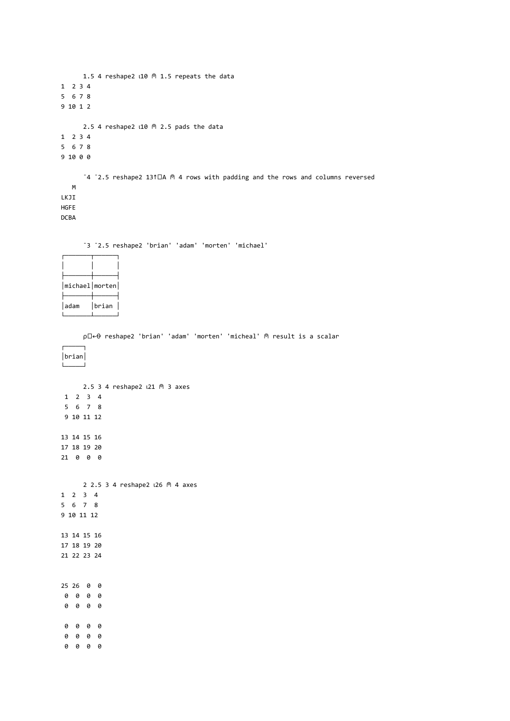```
1.5 4 reshape2 \triangle10 @ 1.5 repeats the data
1 2 3 4
5 6 7 8
9 10 1 2
      2.5 4 reshape2 \triangle10 \textdegree 2.5 pads the data
1 2 3 4
5 6 7 8
9 10 0 0
       ¯4 ¯2.5 reshape2 13↑⎕A ⍝ 4 rows with padding and the rows and columns reversed
    M
LKJI
HGFE
```
DCBA

¯3 ¯2.5 reshape2 'brian' 'adam' 'morten' 'michael'

| $michael  $ morten $ $ |       |
|------------------------|-------|
| adam                   | brian |

⍴⎕←⍬ reshape2 'brian' 'adam' 'morten' 'micheal' ⍝ result is a scalar

┌─────┐ │brian│ └─────┘

```
 2.5 3 4 reshape2 ⍳21 ⍝ 3 axes
 1 2 3 4
 5 6 7 8
 9 10 11 12
13 14 15 16
17 18 19 20
21 0 0 0
     2 2.5 3 4 reshape2 L26 M 4 axes
1 2 3 4
5 6 7 8
9 10 11 12
13 14 15 16
17 18 19 20
21 22 23 24
```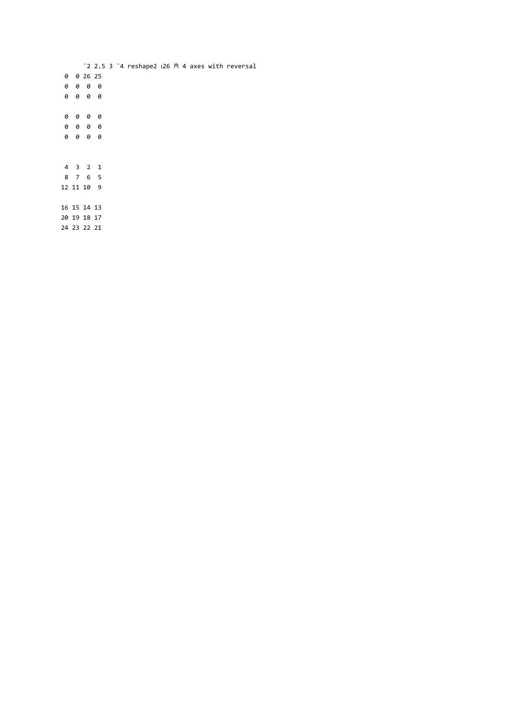$-2$  2.5 3  $-4$  reshape2  $126$   $\circ$  4 axes with reversal 0 0 26 25 0 0 0 0 0 0 0 0 0 0 0 0 0 0 0 0 0 0 0 0 4 3 2 1 8 7 6 5 12 11 10 9 16 15 14 13 20 19 18 17 24 23 22 21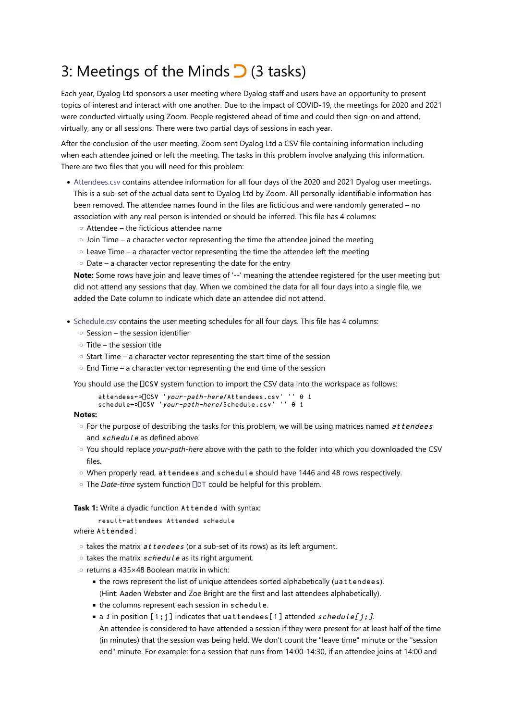## 3: Meetings of the Minds  $\bigcirc$  (3 tasks)

Each year, Dyalog Ltd sponsors a user meeting where Dyalog staff and users have an opportunity to present topics of interest and interact with one another. Due to the impact of COVID-19, the meetings for 2020 and 2021 were conducted virtually using Zoom. People registered ahead of time and could then sign-on and attend, virtually, any or all sessions. There were two partial days of sessions in each year.

After the conclusion of the user meeting, Zoom sent Dyalog Ltd a CSV file containing information including when each attendee joined or left the meeting. The tasks in this problem involve analyzing this information. There are two files that you will need for this problem:

- [Attendees.csv](http://contest.dyalog.bramley/Downloads/Attendees.csv) contains attendee information for all four days of the 2020 and 2021 Dyalog user meetings. This is a sub-set of the actual data sent to Dyalog Ltd by Zoom. All personally-identifiable information has been removed. The attendee names found in the files are ficticious and were randomly generated – no association with any real person is intended or should be inferred. This file has 4 columns:
	- Attendee the ficticious attendee name
	- $\circ$  Join Time a character vector representing the time the attendee joined the meeting
	- Leave Time a character vector representing the time the attendee left the meeting
	- Date a character vector representing the date for the entry

**Note:** Some rows have join and leave times of '--' meaning the attendee registered for the user meeting but did not attend any sessions that day. When we combined the data for all four days into a single file, we added the Date column to indicate which date an attendee did not attend.

- [Schedule.csv](http://contest.dyalog.bramley/Downloads/Schedule.csv) contains the user meeting schedules for all four days. This file has 4 columns:
	- Session the session identifier
	- Title the session title
	- Start Time a character vector representing the start time of the session
	- End Time a character vector representing the end time of the session

You should use the  $\Box$ CSV system function to import the CSV data into the workspace as follows:

```
 attendees←⊃⎕CSV 'your-path-here/Attendees.csv' '' ⍬ 1
schedule←⊃□CSV 'your-path-here/Schedule.csv' '' \theta 1
```
#### **Notes:**

- For the purpose of describing the tasks for this problem, we will be using matrices named at tendees and schedule as defined above.
- You should replace *your-path-here* above with the path to the folder into which you downloaded the CSV files.
- When properly read, attendees and schedule should have 1446 and 48 rows respectively.
- The *Date-time* system function ⎕[DT](http://help.dyalog.com/latest/#Language/System%20Functions/dt.htm) could be helpful for this problem.

**Task 1:** Write a dyadic function Attended with syntax:

```
 result←attendees Attended schedule
where Attended :
```
- takes the matrix attendees (or a sub-set of its rows) as its left argument.
- takes the matrix schedule as its right argument.
- returns a 435×48 Boolean matrix in which:
	- the rows represent the list of unique attendees sorted alphabetically (uattendees). (Hint: Aaden Webster and Zoe Bright are the first and last attendees alphabetically).
	- the columns represent each session in schedule.
	- $\bullet$  a 1 in position [i;j] indicates that uattendees[i] attended schedule[j;].
	- An attendee is considered to have attended a session if they were present for at least half of the time (in minutes) that the session was being held. We don't count the "leave time" minute or the "session end" minute. For example: for a session that runs from 14:00-14:30, if an attendee joins at 14:00 and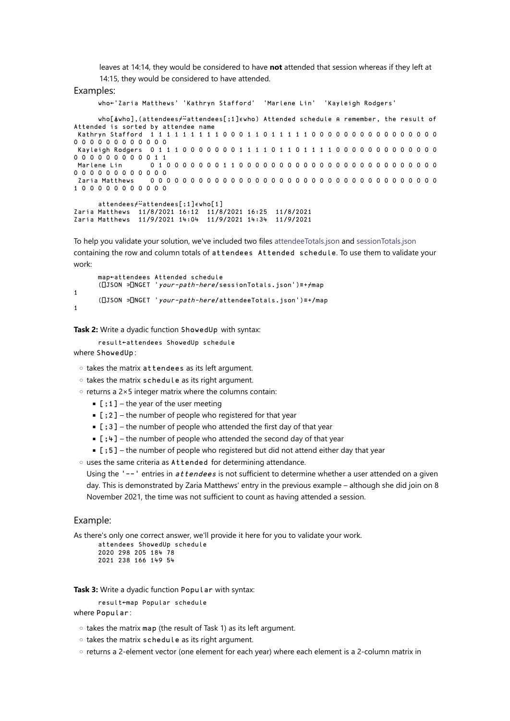leaves at 14:14, they would be considered to have **not** attended that session whereas if they left at 14:15, they would be considered to have attended.

#### Examples:

who←'Zaria Matthews' 'Kathryn Stafford' 'Marlene Lin' 'Kayleigh Rodgers'

who[⍋who],(attendees⌿⍨attendees[;1]∊who) Attended schedule ⍝ remember, the result of

```
Attended is sorted by attendee name
  Kathryn Stafford 1 1 1 1 1 1 1 1 1 0 0 0 1 1 0 1 1 1 1 1 0 0 0 0 0 0 0 0 0 0 0 0 0 0 0 0 
0 0 0 0 0 0 0 0 0 0 0 0
 Kayleigh Rodgers 0 1 1 1 0 0 0 0 0 0 0 1 1 1 1 0 1 1 1 0 1 1 1 1 0 0 0 0 0 0 0 0 0 0 0 0 0
0 0 0 0 0 0 0 0 0 0 1 1<br>Marlene Lin 0 1
                     Marlene Lin 0 1 0 0 0 0 0 0 0 1 1 0 0 0 0 0 0 0 0 0 0 0 0 0 0 0 0 0 0 0 0 0 0 0 0 0 
0 0 0 0 0 0 0 0 0 0 0 0
 Zaria Matthews 0 0 0 0 0 0 0 0 0 0 0 0 0 0 0 0 0 0 0 0 0 0 0 0 0 0 0 0 0 0 0 0 0 0 0 0 
1 0 0 0 0 0 0 0 0 0 0 0
```

```
 attendees⌿⍨attendees[;1]∊who[1]
Zaria Matthews 11/8/2021 16:12 11/8/2021 16:25 11/8/2021 
Zaria Matthews 11/9/2021 14:04 11/9/2021 14:34 11/9/2021
```
To help you validate your solution, we've included two files [attendeeTotals.json](http://contest.dyalog.bramley/Downloads/attendeeTotals.json) and [sessionTotals.json](http://contest.dyalog.bramley/Downloads/sessionTotals.json) containing the row and column totals of attendees Attended schedule. To use them to validate your work:

```
 map←attendees Attended schedule
       (⎕JSON ⊃⎕NGET 'your-path-here/sessionTotals.json')≡+⌿map
1
       (⎕JSON ⊃⎕NGET 'your-path-here/attendeeTotals.json')≡+/map
1
```
**Task 2:** Write a dyadic function ShowedUp with syntax:

 result←attendees ShowedUp schedule where ShowedUp :

◦ takes the matrix attendees as its left argument.

◦ takes the matrix schedule as its right argument.

◦ returns a 2×5 integer matrix where the columns contain:

- $\blacksquare$  [; 1] the year of the user meeting
- $[$  ; 2] the number of people who registered for that year
- $[3]$  the number of people who attended the first day of that year
- $[$ ; 4] the number of people who attended the second day of that year
- $[$ ;5] the number of people who registered but did not attend either day that year
- uses the same criteria as Attended for determining attendance.

Using the  $-$ - $\cdot$  entries in *attendees* is not sufficient to determine whether a user attended on a given day. This is demonstrated by Zaria Matthews' entry in the previous example – although she did join on 8 November 2021, the time was not sufficient to count as having attended a session.

#### Example:

As there's only one correct answer, we'll provide it here for you to validate your work.

```
 attendees ShowedUp schedule
 2020 298 205 184 78
 2021 238 166 149 54
```
**Task 3:** Write a dyadic function Popular with syntax:

result←map Popular schedule

```
where Popular:
```
- takes the matrix map (the result of Task 1) as its left argument.
- takes the matrix schedule as its right argument.
- returns a 2-element vector (one element for each year) where each element is a 2-column matrix in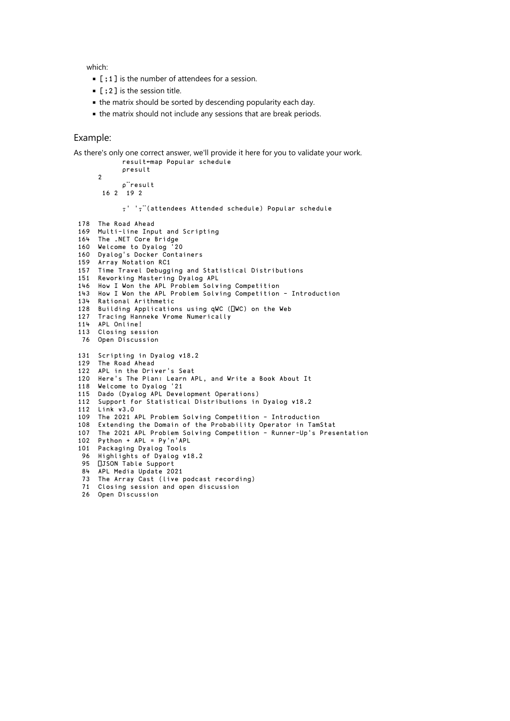which:

- [;1] is the number of attendees for a session.
- $\blacksquare$  [ : 2 ] is the session title.
- the matrix should be sorted by descending popularity each day.
- the matrix should not include any sessions that are break periods.

#### Example:

As there's only one correct answer, we'll provide it here for you to validate your work. result←map Popular schedule

```
 ⍴result
     \overline{2} ⍴¨result
       16 2 19 2
             ⍪' '⍪¨(attendees Attended schedule) Popular schedule
 178 The Road Ahead 
 169 Multi-line Input and Scripting 
 164 The .NET Core Bridge 
 160 Welcome to Dyalog '20 
 160 Dyalog's Docker Containers 
 159 Array Notation RC1 
 157 Time Travel Debugging and Statistical Distributions 
 151 Reworking Mastering Dyalog APL 
 146 How I Won the APL Problem Solving Competition 
 143 How I Won the APL Problem Solving Competition - Introduction 
 134 Rational Arithmetic 
 128 Building Applications using qWC (⎕WC) on the Web 
 127 Tracing Hanneke Vrome Numerically 
 114 APL Online! 
 113 Closing session 
  76 Open Discussion 
 131 Scripting in Dyalog v18.2 
 129 The Road Ahead 
 122 APL in the Driver's Seat 
 120 Here's The Plan: Learn APL, and Write a Book About It 
 118 Welcome to Dyalog '21 
 115 Dado (Dyalog APL Development Operations) 
 112 Support for Statistical Distributions in Dyalog v18.2 
 112 Link v3.0 
 109 The 2021 APL Problem Solving Competition - Introduction 
 108 Extending the Domain of the Probability Operator in TamStat 
107 The 2021 APL Problem Solving Competition - Runner-Up's Presentation
 102 Python + APL = Py'n'APL 
 101 Packaging Dyalog Tools 
  96 Highlights of Dyalog v18.2 
 95 OJSON Table Support
 84 APL Media Update 2021 
 73 The Array Cast (live podcast recording) 
  71 Closing session and open discussion 
  26 Open Discussion
```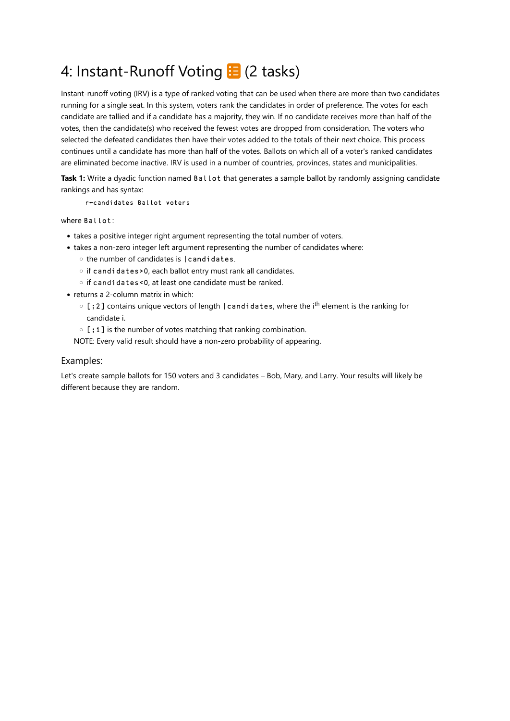## 4: Instant-Runoff Voting **E** (2 tasks)

Instant-runoff voting (IRV) is a type of ranked voting that can be used when there are more than two candidates running for a single seat. In this system, voters rank the candidates in order of preference. The votes for each candidate are tallied and if a candidate has a majority, they win. If no candidate receives more than half of the votes, then the candidate(s) who received the fewest votes are dropped from consideration. The voters who selected the defeated candidates then have their votes added to the totals of their next choice. This process continues until a candidate has more than half of the votes. Ballots on which all of a voter's ranked candidates are eliminated become inactive. IRV is used in a number of countries, provinces, states and municipalities.

Task 1: Write a dyadic function named Ballot that generates a sample ballot by randomly assigning candidate rankings and has syntax:

r←candidates Ballot voters

where Ballot:

- takes a positive integer right argument representing the total number of voters.
- takes a non-zero integer left argument representing the number of candidates where:
	- the number of candidates is |candidates.
	- if candidates>0, each ballot entry must rank all candidates.
	- if candidates<0, at least one candidate must be ranked.
- returns a 2-column matrix in which:
	- [ ; 2 ] contains unique vectors of length | candidates, where the i<sup>th</sup> element is the ranking for candidate i.
	- [;1] is the number of votes matching that ranking combination.
	- NOTE: Every valid result should have a non-zero probability of appearing.

#### Examples:

Let's create sample ballots for 150 voters and 3 candidates – Bob, Mary, and Larry. Your results will likely be different because they are random.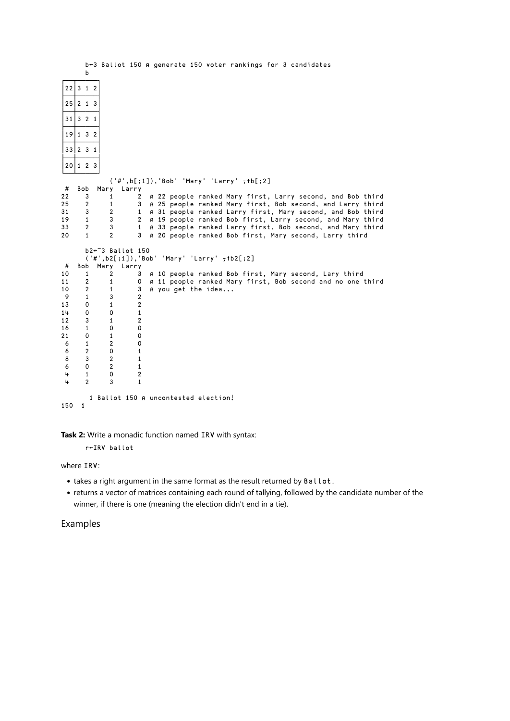|     | b              |                              |                |                                                                                                                      |
|-----|----------------|------------------------------|----------------|----------------------------------------------------------------------------------------------------------------------|
|     | 22 312         |                              |                |                                                                                                                      |
| 25  | 2 1 3          |                              |                |                                                                                                                      |
|     | 31   321       |                              |                |                                                                                                                      |
| 19  | 132            |                              |                |                                                                                                                      |
|     | $33 2 \ 31$    |                              |                |                                                                                                                      |
|     | 20 123         |                              |                |                                                                                                                      |
|     |                |                              |                | $('#', b[:, 1]), 'Bob' 'Mary' 'Larry' ,fb[:, 2]$                                                                     |
| #   | Bob            | Mary                         | Larry          |                                                                                                                      |
| 22  | 3              | 1                            | 2              | A 22 people ranked Mary first, Larry second, and Bob third                                                           |
| 25  | 2              | 1                            | 3              | A 25 people ranked Mary first, Bob second, and Larry third                                                           |
| 31  | 3              | $\overline{2}$               | 1              | A 31 people ranked Larry first, Mary second, and Bob third                                                           |
| 19  | $\mathbf{1}$   | 3                            | $\overline{2}$ | A 19 people ranked Bob first, Larry second, and Mary third                                                           |
| 33  | $\overline{c}$ | 3                            | $\mathbf{1}$   |                                                                                                                      |
| 20  | 1              | $\overline{2}$               | 3              | A 33 people ranked Larry first, Bob second, and Mary third<br>A 20 people ranked Bob first, Mary second, Larry third |
|     |                | $b2 \leftarrow 3$ Ballot 150 |                |                                                                                                                      |
|     |                |                              |                | $('#', b2[:, 1]), 'Bob' 'Mary' 'Larry' , tb2[:, 2]$                                                                  |
| #   | Bob            | Mary                         | Larry          |                                                                                                                      |
| 10  | 1              | 2                            | 3              | A 10 people ranked Bob first, Mary second, Lary third                                                                |
| 11  | 2              | 1                            | 0              |                                                                                                                      |
| 10  | $\overline{2}$ | $\mathbf{1}$                 | 3              | A 11 people ranked Mary first, Bob second and no one third                                                           |
|     |                |                              |                | A you get the idea                                                                                                   |
| 9   | $\mathbf{1}$   | 3                            | $\overline{2}$ |                                                                                                                      |
| 13  | 0              | 1                            | $\overline{2}$ |                                                                                                                      |
| 14  | 0              | 0                            | 1              |                                                                                                                      |
| 12  | 3              | 1                            | 2              |                                                                                                                      |
| 16  | $\mathbf{1}$   | 0                            | 0              |                                                                                                                      |
| 21  | 0              | 1                            | 0              |                                                                                                                      |
| 6   | $\mathbf{1}$   | $\overline{2}$               | 0              |                                                                                                                      |
| 6   | $\overline{c}$ | 0                            | 1              |                                                                                                                      |
| 8   | 3              | $\overline{2}$               | 1              |                                                                                                                      |
| 6   | 0              | $\overline{2}$               | 1              |                                                                                                                      |
| 4   | 1              | 0                            | 2              |                                                                                                                      |
| 4   | $\overline{2}$ | 3                            | $\mathbf{1}$   |                                                                                                                      |
|     |                |                              |                |                                                                                                                      |
|     |                |                              |                | 1 Ballot 150 A uncontested election!                                                                                 |
| 150 | $\mathbf{1}$   |                              |                |                                                                                                                      |

b←3 Ballot 150 ⍝ generate 150 voter rankings for 3 candidates

**Task 2:** Write a monadic function named IRV with syntax:

r←IRV ballot

where IRV:

- takes a right argument in the same format as the result returned by Ballot.
- returns a vector of matrices containing each round of tallying, followed by the candidate number of the winner, if there is one (meaning the election didn't end in a tie).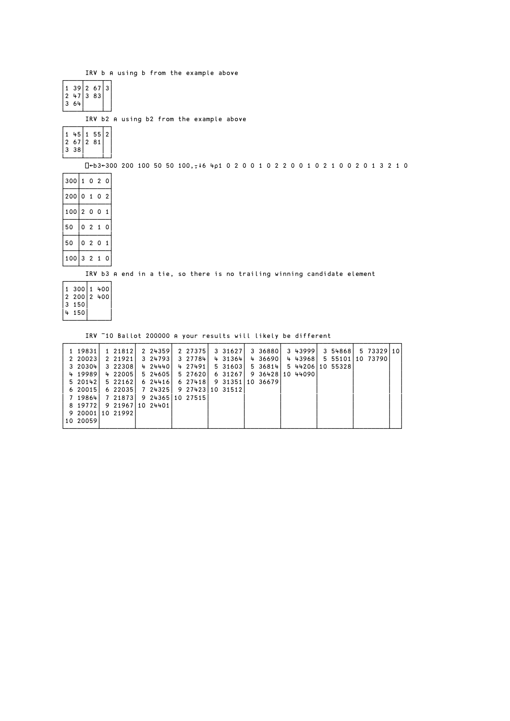IRV b A using b from the example above

| 39<br>47<br>2<br>3<br>64 | 2<br>3 | 67<br>83 | 3 |
|--------------------------|--------|----------|---|
|--------------------------|--------|----------|---|

IRV b2 ⍝ using b2 from the example above

| 45<br>67<br>38<br>3 | $\overline{c}$ | 55<br>81 | 2 |
|---------------------|----------------|----------|---|
|---------------------|----------------|----------|---|

⎕←b3←300 200 100 50 50 100,⍪↓6 4⍴1 0 2 0 0 1 0 2 2 0 0 1 0 2 1 0 0 2 0 1 3 2 1 0

| 300 | 1              | 0                       | $\overline{2}$ | 0              |
|-----|----------------|-------------------------|----------------|----------------|
| 200 | 0              | $\overline{\mathbf{1}}$ | Ω              | $\overline{2}$ |
| 100 | $\overline{2}$ | - 0                     | 0              | 1              |
| 50  | 0              | $\overline{2}$          | $\overline{1}$ | 0              |
| 50  | 0              | $\overline{2}$          | Ω              | 1              |
| 100 | 3              | $\overline{2}$          |                | 0              |

IRV b3 A end in a tie, so there is no trailing winning candidate element

| 300 1<br>$200$   2<br>$\overline{2}$<br>150<br>3<br>150 | 400<br>400 |
|---------------------------------------------------------|------------|
|---------------------------------------------------------|------------|

IRV ¯10 Ballot 200000 ⍝ your results will likely be different

| 1 19831          | 1 21812          | 2 24359  | 2 27375          | 3 31627          | 3 368801 | 3 439991         | 3 54868          | 5 73329110 |  |
|------------------|------------------|----------|------------------|------------------|----------|------------------|------------------|------------|--|
| 2 20023          | 2 21921          | 3 247931 | 3 277841         | 431364           | 4 36690  | 4 43968          | 5 55101 10 73790 |            |  |
| 3 20304          | 3 22308          | 4 24440  | 4 27491          | 5 31603          | 5 36814  |                  | 5 44206 10 55328 |            |  |
| 4 19989          | 422005           | 5 24605  | 5 27620          | 6 31267          |          | 9 36428 10 44090 |                  |            |  |
| 5 20142          | 5 22162          | 624416   | 6 27418          | 9 31351 10 36679 |          |                  |                  |            |  |
| 620015           | 622035           | 7243251  | 9 27423 10 31512 |                  |          |                  |                  |            |  |
| 7 19864          | 7 218731         |          | 9 24365 10 27515 |                  |          |                  |                  |            |  |
| 8 197721         | 9 21967 10 24401 |          |                  |                  |          |                  |                  |            |  |
| 9 20001 10 21992 |                  |          |                  |                  |          |                  |                  |            |  |
| 10 20059         |                  |          |                  |                  |          |                  |                  |            |  |
|                  |                  |          |                  |                  |          |                  |                  |            |  |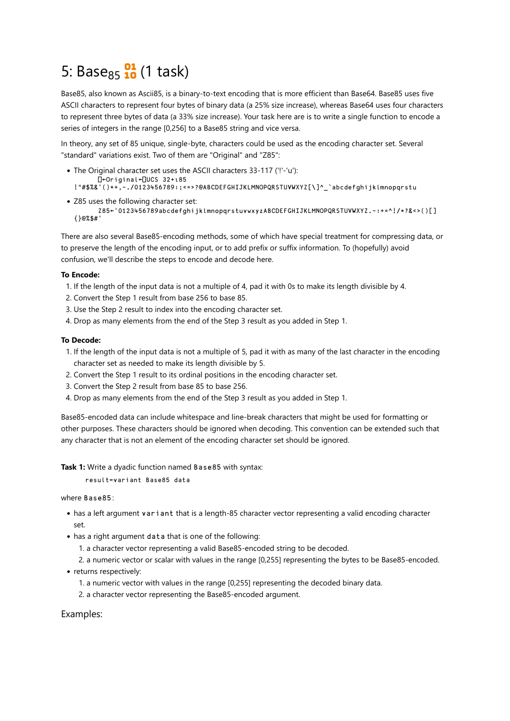# 5: Base<sub>85</sub> $\frac{91}{10}$  (1 task)

Base85, also known as Ascii85, is a binary-to-text encoding that is more efficient than Base64. Base85 uses five ASCII characters to represent four bytes of binary data (a 25% size increase), whereas Base64 uses four characters to represent three bytes of data (a 33% size increase). Your task here are is to write a single function to encode a series of integers in the range [0,256] to a Base85 string and vice versa.

In theory, any set of 85 unique, single-byte, characters could be used as the encoding character set. Several "standard" variations exist. Two of them are "Original" and "Z85":

- The Original character set uses the ASCII characters 33-117 ('!'-'u'): ⎕←Original←⎕UCS 32+⍳85 !"#\$%&'()\*+,-./0123456789:;<=>?@ABCDEFGHIJKLMNOPQRSTUVWXYZ[\]^\_`abcdefghijklmnopqrstu
- Z85 uses the following character set: Z85←'0123456789abcdefghijklmnopqrstuvwxyzABCDEFGHIJKLMNOPQRSTUVWXYZ.-:+=^!/\*?&<>()[] {}@%\$#'

There are also several Base85-encoding methods, some of which have special treatment for compressing data, or to preserve the length of the encoding input, or to add prefix or suffix information. To (hopefully) avoid confusion, we'll describe the steps to encode and decode here.

#### **To Encode:**

- 1. If the length of the input data is not a multiple of 4, pad it with 0s to make its length divisible by 4.
- 2. Convert the Step 1 result from base 256 to base 85.
- 3. Use the Step 2 result to index into the encoding character set.
- 4. Drop as many elements from the end of the Step 3 result as you added in Step 1.

#### **To Decode:**

- 1. If the length of the input data is not a multiple of 5, pad it with as many of the last character in the encoding character set as needed to make its length divisible by 5.
- 2. Convert the Step 1 result to its ordinal positions in the encoding character set.
- 3. Convert the Step 2 result from base 85 to base 256.
- 4. Drop as many elements from the end of the Step 3 result as you added in Step 1.

Base85-encoded data can include whitespace and line-break characters that might be used for formatting or other purposes. These characters should be ignored when decoding. This convention can be extended such that any character that is not an element of the encoding character set should be ignored.

**Task 1:** Write a dyadic function named Base85 with syntax:

result←variant Base85 data

#### where Base85:

- has a left argument variant that is a length-85 character vector representing a valid encoding character set.
- has a right argument data that is one of the following:
	- 1. a character vector representing a valid Base85-encoded string to be decoded.
	- 2. a numeric vector or scalar with values in the range [0,255] representing the bytes to be Base85-encoded.
- returns respectively:
	- 1. a numeric vector with values in the range [0,255] representing the decoded binary data.
	- 2. a character vector representing the Base85-encoded argument.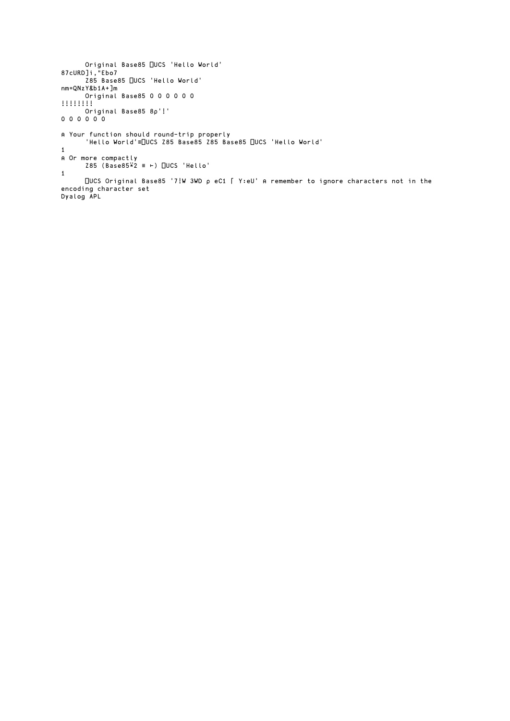```
 Original Base85 ⎕UCS 'Hello World'
87cURD]i,"Ebo7
 Z85 Base85 ⎕UCS 'Hello World'
nm=QNzY&b1A+]m
      Original Base85 0 0 0 0 0 0
!!!!!!!!
      Original Base85 8⍴'!'
0 0 0 0 0 0
⍝ Your function should round-trip properly
 'Hello World'≡⎕UCS Z85 Base85 Z85 Base85 ⎕UCS 'Hello World'
1
⍝ Or more compactly
 Z85 (Base85⍣2 ≡ ⊢) ⎕UCS 'Hello'
1
     ⎕UCS Original Base85 '7!W 3WD ⍴ eC1 ⌈ Y:eU' ⍝ remember to ignore characters not in the 
encoding character set
Dyalog APL
```